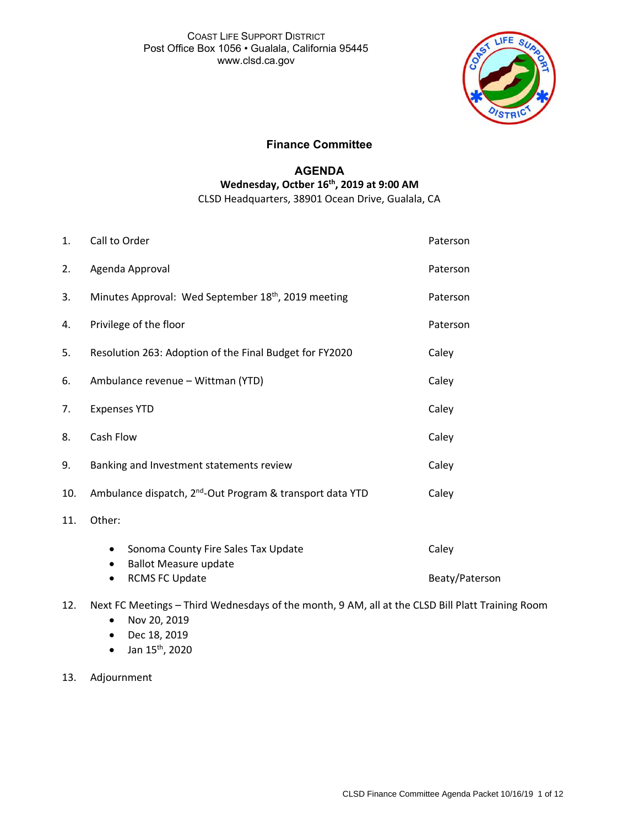

## **Finance Committee**

## **AGENDA Wednesday, Octber 16 th , 2019 at 9:00 AM** CLSD Headquarters, 38901 Ocean Drive, Gualala, CA

| 1.  | Call to Order                                                         | Paterson       |  |  |  |  |
|-----|-----------------------------------------------------------------------|----------------|--|--|--|--|
| 2.  | Agenda Approval                                                       | Paterson       |  |  |  |  |
| 3.  | Minutes Approval: Wed September 18 <sup>th</sup> , 2019 meeting       | Paterson       |  |  |  |  |
| 4.  | Privilege of the floor                                                | Paterson       |  |  |  |  |
| 5.  | Resolution 263: Adoption of the Final Budget for FY2020               | Caley          |  |  |  |  |
| 6.  | Ambulance revenue - Wittman (YTD)                                     | Caley          |  |  |  |  |
| 7.  | <b>Expenses YTD</b>                                                   | Caley          |  |  |  |  |
| 8.  | Cash Flow                                                             | Caley          |  |  |  |  |
| 9.  | Banking and Investment statements review                              | Caley          |  |  |  |  |
| 10. | Ambulance dispatch, 2 <sup>nd</sup> -Out Program & transport data YTD | Caley          |  |  |  |  |
| 11. | Other:                                                                |                |  |  |  |  |
|     | Sonoma County Fire Sales Tax Update<br>$\bullet$                      | Caley          |  |  |  |  |
|     | <b>Ballot Measure update</b><br>٠<br><b>RCMS FC Update</b>            | Beaty/Paterson |  |  |  |  |

- 12. Next FC Meetings Third Wednesdays of the month, 9 AM, all at the CLSD Bill Platt Training Room
	- Nov 20, 2019
	- Dec 18, 2019
	- Jan  $15^{th}$ , 2020
- 13. Adjournment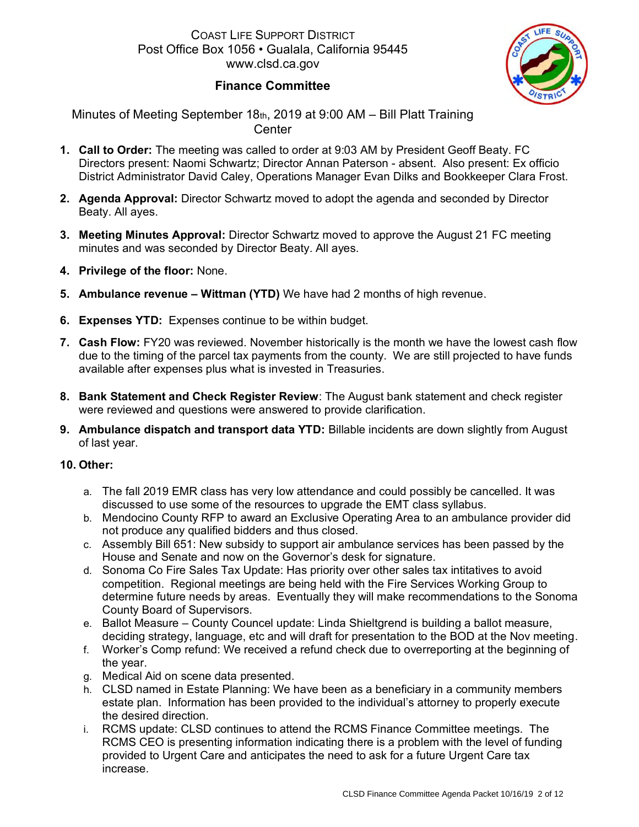

# **Finance Committee**

Minutes of Meeting September 18th, 2019 at 9:00 AM – Bill Platt Training **Center** 

- **1. Call to Order:** The meeting was called to order at 9:03 AM by President Geoff Beaty. FC Directors present: Naomi Schwartz; Director Annan Paterson - absent. Also present: Ex officio District Administrator David Caley, Operations Manager Evan Dilks and Bookkeeper Clara Frost.
- **2. Agenda Approval:** Director Schwartz moved to adopt the agenda and seconded by Director Beaty. All ayes.
- **3. Meeting Minutes Approval:** Director Schwartz moved to approve the August 21 FC meeting minutes and was seconded by Director Beaty. All ayes.
- **4. Privilege of the floor:** None.
- **5. Ambulance revenue – Wittman (YTD)** We have had 2 months of high revenue.
- **6. Expenses YTD:** Expenses continue to be within budget.
- **7. Cash Flow:** FY20 was reviewed. November historically is the month we have the lowest cash flow due to the timing of the parcel tax payments from the county. We are still projected to have funds available after expenses plus what is invested in Treasuries.
- **8. Bank Statement and Check Register Review**: The August bank statement and check register were reviewed and questions were answered to provide clarification.
- **9. Ambulance dispatch and transport data YTD:** Billable incidents are down slightly from August of last year.

## **10. Other:**

- a. The fall 2019 EMR class has very low attendance and could possibly be cancelled. It was discussed to use some of the resources to upgrade the EMT class syllabus.
- b. Mendocino County RFP to award an Exclusive Operating Area to an ambulance provider did not produce any qualified bidders and thus closed.
- c. Assembly Bill 651: New subsidy to support air ambulance services has been passed by the House and Senate and now on the Governor's desk for signature.
- d. Sonoma Co Fire Sales Tax Update: Has priority over other sales tax intitatives to avoid competition. Regional meetings are being held with the Fire Services Working Group to determine future needs by areas. Eventually they will make recommendations to the Sonoma County Board of Supervisors.
- e. Ballot Measure County Councel update: Linda Shieltgrend is building a ballot measure, deciding strategy, language, etc and will draft for presentation to the BOD at the Nov meeting.
- f. Worker's Comp refund: We received a refund check due to overreporting at the beginning of the year.
- g. Medical Aid on scene data presented.
- h. CLSD named in Estate Planning: We have been as a beneficiary in a community members estate plan. Information has been provided to the individual's attorney to properly execute the desired direction.
- i. RCMS update: CLSD continues to attend the RCMS Finance Committee meetings. The RCMS CEO is presenting information indicating there is a problem with the level of funding provided to Urgent Care and anticipates the need to ask for a future Urgent Care tax increase.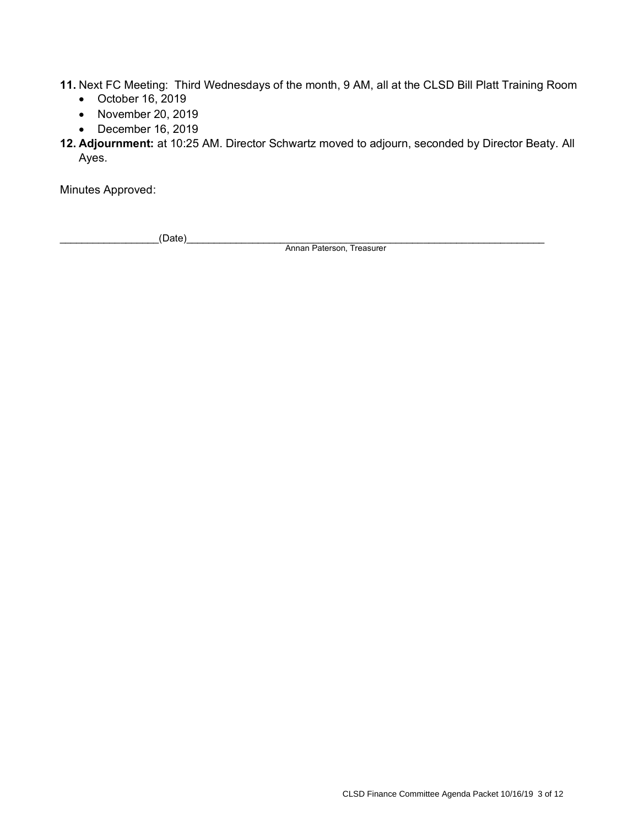**11.** Next FC Meeting: Third Wednesdays of the month, 9 AM, all at the CLSD Bill Platt Training Room

- October 16, 2019
- November 20, 2019
- December 16, 2019

**12. Adjournment:** at 10:25 AM. Director Schwartz moved to adjourn, seconded by Director Beaty. All Ayes.

Minutes Approved:

\_\_\_\_\_\_\_\_\_\_\_\_\_\_\_\_\_\_(Date)\_\_\_\_\_\_\_\_\_\_\_\_\_\_\_\_\_\_\_\_\_\_\_\_\_\_\_\_\_\_\_\_\_\_\_\_\_\_\_\_\_\_\_\_\_\_\_\_\_\_\_\_\_\_\_\_\_\_\_\_\_\_\_\_\_

Annan Paterson, Treasurer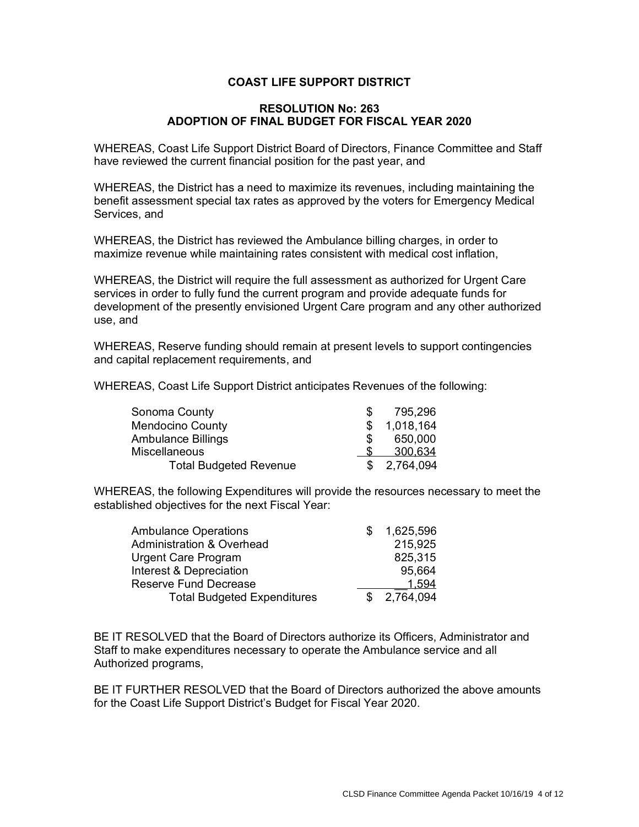## **COAST LIFE SUPPORT DISTRICT**

## **RESOLUTION No: 263 ADOPTION OF FINAL BUDGET FOR FISCAL YEAR 2020**

WHEREAS, Coast Life Support District Board of Directors, Finance Committee and Staff have reviewed the current financial position for the past year, and

WHEREAS, the District has a need to maximize its revenues, including maintaining the benefit assessment special tax rates as approved by the voters for Emergency Medical Services, and

WHEREAS, the District has reviewed the Ambulance billing charges, in order to maximize revenue while maintaining rates consistent with medical cost inflation,

WHEREAS, the District will require the full assessment as authorized for Urgent Care services in order to fully fund the current program and provide adequate funds for development of the presently envisioned Urgent Care program and any other authorized use, and

WHEREAS, Reserve funding should remain at present levels to support contingencies and capital replacement requirements, and

WHEREAS, Coast Life Support District anticipates Revenues of the following:

| Sonoma County                 | 795,296     |
|-------------------------------|-------------|
| <b>Mendocino County</b>       | 1,018,164   |
| <b>Ambulance Billings</b>     | 650,000     |
| <b>Miscellaneous</b>          | 300.634     |
| <b>Total Budgeted Revenue</b> | \$2,764,094 |

WHEREAS, the following Expenditures will provide the resources necessary to meet the established objectives for the next Fiscal Year:

| <b>Ambulance Operations</b>          | 1,625,596   |
|--------------------------------------|-------------|
| <b>Administration &amp; Overhead</b> | 215.925     |
| Urgent Care Program                  | 825,315     |
| Interest & Depreciation              | 95,664      |
| <b>Reserve Fund Decrease</b>         | 1.594       |
| <b>Total Budgeted Expenditures</b>   | \$2,764,094 |

BE IT RESOLVED that the Board of Directors authorize its Officers, Administrator and Staff to make expenditures necessary to operate the Ambulance service and all Authorized programs,

BE IT FURTHER RESOLVED that the Board of Directors authorized the above amounts for the Coast Life Support District's Budget for Fiscal Year 2020.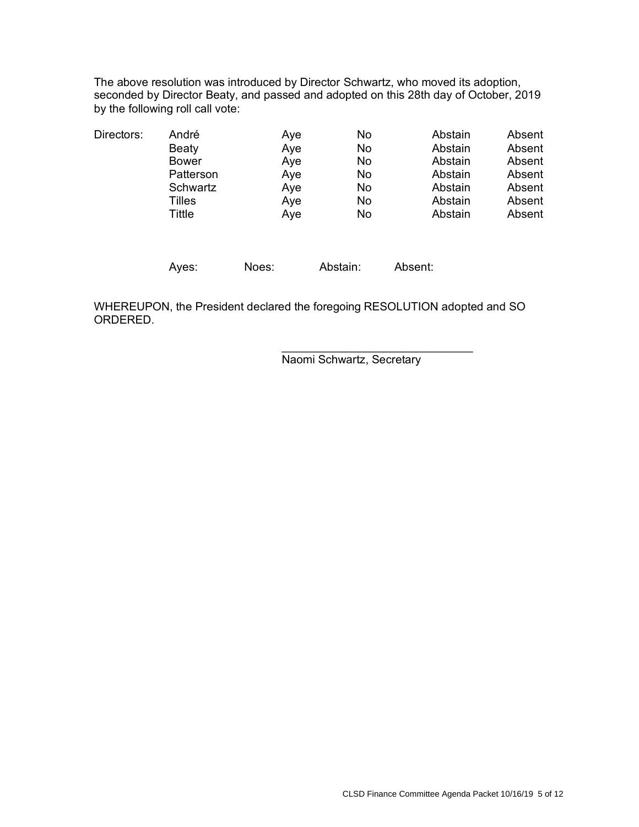The above resolution was introduced by Director Schwartz, who moved its adoption, seconded by Director Beaty, and passed and adopted on this 28th day of October, 2019 by the following roll call vote:

| Directors: | André     | Aye   | No       | Abstain | Absent |
|------------|-----------|-------|----------|---------|--------|
|            | Beaty     | Aye   | No       | Abstain | Absent |
|            | Bower     | Aye   | No       | Abstain | Absent |
|            | Patterson | Aye   | No       | Abstain | Absent |
|            | Schwartz  | Aye   | No       | Abstain | Absent |
|            | Tilles    | Aye   | No       | Abstain | Absent |
|            | Tittle    | Aye   | No       | Abstain | Absent |
|            | Ayes:     | Noes: | Abstain: | Absent: |        |

WHEREUPON, the President declared the foregoing RESOLUTION adopted and SO ORDERED.

> $\overline{\phantom{a}}$  , which is a set of the set of the set of the set of the set of the set of the set of the set of the set of the set of the set of the set of the set of the set of the set of the set of the set of the set of th Naomi Schwartz, Secretary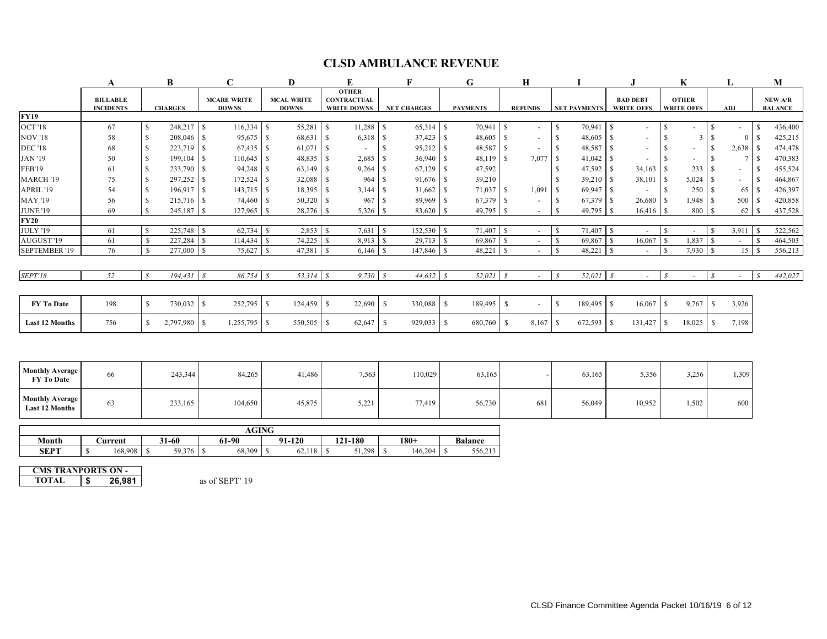# **CLSD AMBULANCE REVENUE**

|                                                 | A                                   |                               | $\mathbf C$<br>D                   |                                                                                               | E                          | F                         | G                                | Н                                 |                              | J.                                   | K                                 | L                               | M                                |  |
|-------------------------------------------------|-------------------------------------|-------------------------------|------------------------------------|-----------------------------------------------------------------------------------------------|----------------------------|---------------------------|----------------------------------|-----------------------------------|------------------------------|--------------------------------------|-----------------------------------|---------------------------------|----------------------------------|--|
|                                                 | <b>BILLABLE</b><br><b>INCIDENTS</b> | <b>CHARGES</b>                | <b>MCARE WRITE</b><br><b>DOWNS</b> | <b>OTHER</b><br><b>MCAL WRITE</b><br><b>CONTRACTUAL</b><br><b>DOWNS</b><br><b>WRITE DOWNS</b> |                            | <b>NET CHARGES</b>        | <b>PAYMENTS</b>                  | <b>REFUNDS</b>                    | <b>NET PAYMENTS</b>          | <b>BAD DEBT</b><br><b>WRITE OFFS</b> | <b>OTHER</b><br><b>WRITE OFFS</b> | ADJ                             | <b>NEW A/R</b><br><b>BALANCE</b> |  |
| <b>FY19</b>                                     |                                     |                               |                                    |                                                                                               |                            |                           |                                  |                                   |                              |                                      |                                   |                                 |                                  |  |
| <b>OCT</b> '18                                  | 67                                  | \$<br>$248,217$ \$            |                                    | 55,281                                                                                        | l S<br>$11,288$ \$         |                           | 70,941 \$                        | $\overline{\phantom{a}}$          | $70,941$ \$<br>$\mathcal{S}$ | $\blacksquare$                       | -S                                | <sup>S</sup>                    | 436,400<br><sup>S</sup>          |  |
| <b>NOV '18</b>                                  | 58                                  | $208,046$ \$<br>\$            | $95,675$ \\$                       | 68,631                                                                                        | $\mathsf{S}$<br>$6,318$ \$ | 37,423 \$                 | 48,605 \$                        | $\sim$                            | $\mathcal{S}$                | $\blacksquare$                       | <sup>\$</sup><br>3                | $\mathbb{S}$<br>$\Omega$        | $\mathbf S$<br>425,215           |  |
| <b>DEC</b> '18                                  | 68                                  | <sup>\$</sup>                 |                                    | 61,071                                                                                        | $\mathsf{S}$               | <sup>S</sup><br>95,212 \$ | 48,587 \$                        |                                   | S                            | $\overline{\phantom{a}}$             | -S<br>$\blacksquare$              | <sup>\$</sup>                   | 474,478                          |  |
| <b>JAN '19</b>                                  | 50                                  | $199,104$ \$<br><sup>\$</sup> | $110,645$ \$                       |                                                                                               | 2,685                      | 36,940 \$<br>l \$         | 48,119 \$                        | 7,077                             | $41,042$ \$<br>l \$          |                                      | - \$                              | <sup>\$</sup><br>7 <sup>1</sup> | 470,383<br><sup>S</sup>          |  |
| <b>FEB'19</b>                                   | 61                                  | $233,790$ \$<br>\$            |                                    | $63,149$ \$                                                                                   | $9,264$ \$                 | 67,129                    | <sup>\$</sup><br>47,592          |                                   | -S                           | 34,163                               | 233<br>-S                         | -S                              | 455,524<br>-S                    |  |
| MARCH '19                                       | 75                                  | \$                            | $172,524$ \$                       | 32,088                                                                                        | 964<br>l S                 | 91,676 \$<br>l S          | 39,210                           |                                   | $39,210$ \$<br>-S            | 38,101                               | 5,024<br><sup>\$</sup>            | -S                              | 464,867<br><sup>\$</sup>         |  |
| APRIL '19                                       | 54                                  | $196,917$ \$<br>$\mathbb{S}$  | $143,715$ \\$                      | 18,395 \$                                                                                     |                            | 31,662                    | <sup>\$</sup><br>71,037 \$       | 1,091                             | $69,947$ \$<br>l \$          | $\sim$                               | -S<br>250                         | <sup>S</sup><br>65              | 426,397<br><sup>S</sup>          |  |
| <b>MAY '19</b>                                  | 56                                  | $215,716$ \$<br>$\mathbb{S}$  | 74,460 \$                          | $50,320$ \$                                                                                   | 967                        | l s<br>89,969 \$          | 67,379 \$                        | $\sim$                            | $67,379$ \$<br>$\mathcal{S}$ | 26,680                               | 1,948<br><sup>S</sup>             | 500 \$<br>-S                    | 420,858                          |  |
| <b>JUNE '19</b>                                 | 69                                  | <b>S</b>                      | $127,965$ \$                       | $28,276$ \$                                                                                   | $5,326$ \$                 | 83,620                    | \$                               |                                   | <sup>S</sup>                 | 16,416                               | 800<br><sup>S</sup>               | <sup>S</sup><br>62              | 437,528<br>\$.                   |  |
| <b>FY20</b>                                     |                                     |                               |                                    |                                                                                               |                            |                           |                                  |                                   |                              |                                      |                                   |                                 |                                  |  |
| <b>JULY '19</b>                                 | 61                                  | S.                            |                                    | $2,853$ \$                                                                                    |                            | $152,530$ \$              | 71,407 \$                        | $\sim$                            | 71,407<br>  S                | $\mathbf{s}$<br>$\overline{a}$       | -S<br>$\sim$                      | $3,911$ \$<br>-S                | 522,562                          |  |
| AUGUST <sup>'19</sup>                           | 61                                  | <sup>\$</sup><br>$227,284$ \$ |                                    |                                                                                               | 8,913 \$                   | 29,713                    | $\mathbb{S}$<br>69,867           | l s<br>$\overline{\phantom{a}}$   | $\mathbb{S}$<br>69,867       | $\mathbb{S}$<br>16,067               | 1,837<br><sup>\$</sup>            | <sup>S</sup>                    | <sup>S</sup><br>464,503          |  |
| <b>SEPTEMBER '19</b>                            | 76                                  | <sup>S</sup><br>277,000 \$    | $75,627$ \$                        | 47,381                                                                                        | l \$                       | 147,846                   | 48,221<br><sup>\$</sup>          | $\overline{\mathbf{s}}$<br>$\sim$ | l S<br>48,221                | $\cdot$ S<br>$\sim$                  | 7,930<br>$\mathbf{\hat{s}}$       | 15S<br>-S                       | 556,213                          |  |
|                                                 |                                     |                               |                                    |                                                                                               |                            |                           |                                  |                                   |                              |                                      |                                   |                                 |                                  |  |
| <b>SEPT'18</b>                                  | 52                                  | $\mathcal{S}$<br>$194,431$ \$ | $86,754$ \$                        |                                                                                               | $9,730$ \$                 | 44,632                    | $52,021$ \$<br>$\mathcal{S}_{0}$ | $\sim$                            | 52,021<br>$\mathcal{S}$      | $\mathcal{S}$<br>$\sim$              | $\mathcal{S}_{0}$<br>$\sim$       | $\mathcal{S}_{0}$<br>$\omega$   | 442,027<br>$\mathcal{S}$         |  |
|                                                 |                                     |                               |                                    |                                                                                               |                            |                           |                                  |                                   |                              |                                      |                                   |                                 |                                  |  |
| FY To Date                                      | 198                                 | $\mathbb{S}$<br>730,032 \$    | $252,795$ \$                       |                                                                                               | 22,690                     | 330,088<br>l S            | <sup>S</sup><br>189,495 \$       | $\sim$                            | <sup>S</sup><br>$189,495$ \$ | 16,067                               | <sup>\$</sup><br>9,767            | 3,926<br>-S                     |                                  |  |
| <b>Last 12 Months</b>                           | 756                                 | $\mathbb{S}$<br>2,797,980 \$  | 1,255,795                          | l \$<br>550,505                                                                               | 62,647<br>l \$             | -S<br>929,033             | <sup>S</sup><br>680,760 \$       | 8,167                             | l \$<br>672,593              | S<br>131,427                         | <sup>\$</sup><br>18,025           | 7,198<br>-S                     |                                  |  |
|                                                 |                                     |                               |                                    |                                                                                               |                            |                           |                                  |                                   |                              |                                      |                                   |                                 |                                  |  |
|                                                 |                                     |                               |                                    |                                                                                               |                            |                           |                                  |                                   |                              |                                      |                                   |                                 |                                  |  |
| <b>Monthly Average</b><br>FY To Date            | 66                                  | 243,344                       | 84,265                             | 41,486                                                                                        | 7,563                      | 110,029                   | 63,165                           |                                   | 63,165                       | 5,356                                | 3,256                             | 1,309                           |                                  |  |
| <b>Monthly Average</b><br><b>Last 12 Months</b> | 63                                  | 233,165                       | 104,650                            | 45,875                                                                                        | 5,221                      | 77,419                    | 56,730                           | 681                               | 56,049                       | 10,952                               | 1,502                             | 600                             |                                  |  |
|                                                 |                                     |                               | <b>AGING</b>                       |                                                                                               |                            |                           |                                  |                                   |                              |                                      |                                   |                                 |                                  |  |
| Month                                           | <b>Current</b>                      | $31 - 60$                     | 61-90                              | $91 - 120$                                                                                    | 121-180                    | $180+$                    | <b>Balance</b>                   |                                   |                              |                                      |                                   |                                 |                                  |  |
| <b>SEPT</b>                                     | $\mathbb{S}$<br>168,908             | $\mathbb{S}$<br>59,376 \$     | 68,309 \$                          |                                                                                               | $51,298$ \$                | 146,204                   | 556,213<br>-S                    |                                   |                              |                                      |                                   |                                 |                                  |  |
|                                                 |                                     |                               |                                    |                                                                                               |                            |                           |                                  |                                   |                              |                                      |                                   |                                 |                                  |  |

**TOTAL \$ 26,981** as of SEPT' 19 **CMS TRANPORTS ON -**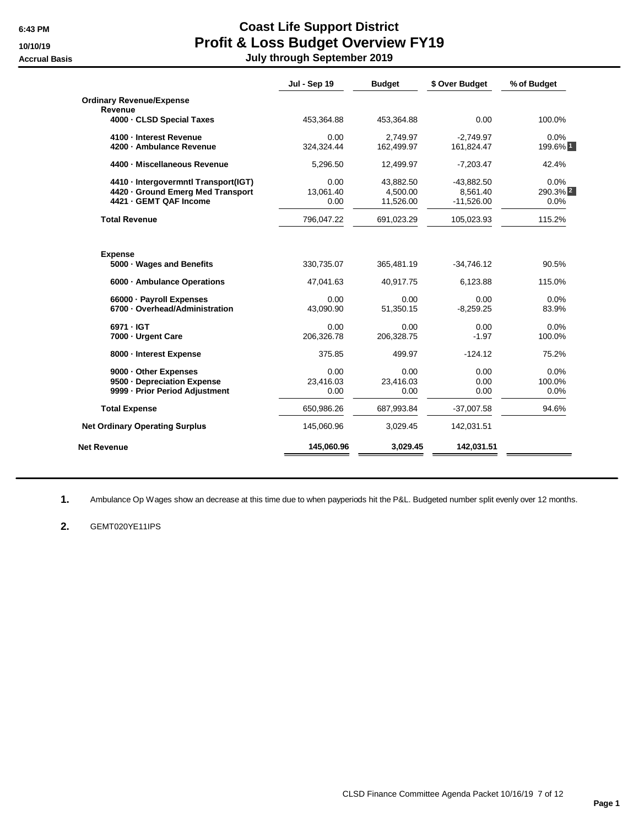# **6:43 PM Coast Life Support District 10/10/19 Profit & Loss Budget Overview FY19 Accrual Basis July through September 2019**

|                                       | Jul - Sep 19 | <b>Budget</b> | \$ Over Budget | % of Budget         |
|---------------------------------------|--------------|---------------|----------------|---------------------|
| <b>Ordinary Revenue/Expense</b>       |              |               |                |                     |
| Revenue                               |              |               |                |                     |
| 4000 - CLSD Special Taxes             | 453,364.88   | 453,364.88    | 0.00           | 100.0%              |
| 4100 - Interest Revenue               | 0.00         | 2,749.97      | $-2,749.97$    | 0.0%                |
| 4200 - Ambulance Revenue              | 324,324.44   | 162.499.97    | 161,824.47     | 199.6% 1            |
| 4400 - Miscellaneous Revenue          | 5,296.50     | 12,499.97     | $-7,203.47$    | 42.4%               |
| 4410 - Intergovermntl Transport(IGT)  | 0.00         | 43.882.50     | $-43,882.50$   | 0.0%                |
| 4420 - Ground Emerg Med Transport     | 13.061.40    | 4,500.00      | 8,561.40       | 290.3% <sup>2</sup> |
| 4421 - GEMT QAF Income                | 0.00         | 11,526.00     | $-11,526.00$   | 0.0%                |
| <b>Total Revenue</b>                  | 796,047.22   | 691,023.29    | 105,023.93     | 115.2%              |
| <b>Expense</b>                        |              |               | $-34,746.12$   | 90.5%               |
| 5000 · Wages and Benefits             | 330,735.07   | 365,481.19    |                |                     |
| 6000 · Ambulance Operations           | 47,041.63    | 40,917.75     | 6,123.88       | 115.0%              |
| 66000 · Payroll Expenses              | 0.00         | 0.00          | 0.00           | 0.0%                |
| 6700 - Overhead/Administration        | 43.090.90    | 51,350.15     | $-8.259.25$    | 83.9%               |
| 6971 - IGT                            | 0.00         | 0.00          | 0.00           | 0.0%                |
| 7000 - Urgent Care                    | 206,326.78   | 206,328.75    | $-1.97$        | 100.0%              |
| 8000 - Interest Expense               | 375.85       | 499.97        | $-124.12$      | 75.2%               |
| 9000 - Other Expenses                 | 0.00         | 0.00          | 0.00           | 0.0%                |
| 9500 - Depreciation Expense           | 23,416.03    | 23,416.03     | 0.00           | 100.0%              |
| 9999 - Prior Period Adjustment        | 0.00         | 0.00          | 0.00           | 0.0%                |
| <b>Total Expense</b>                  | 650,986.26   | 687,993.84    | $-37,007.58$   | 94.6%               |
| <b>Net Ordinary Operating Surplus</b> | 145,060.96   | 3,029.45      | 142,031.51     |                     |
| Net Revenue                           | 145,060.96   | 3,029.45      | 142,031.51     |                     |

**1.** Ambulance Op Wages show an decrease at this time due to when payperiods hit the P&L. Budgeted number split evenly over 12 months.

### **2.** GEMT020YE11IPS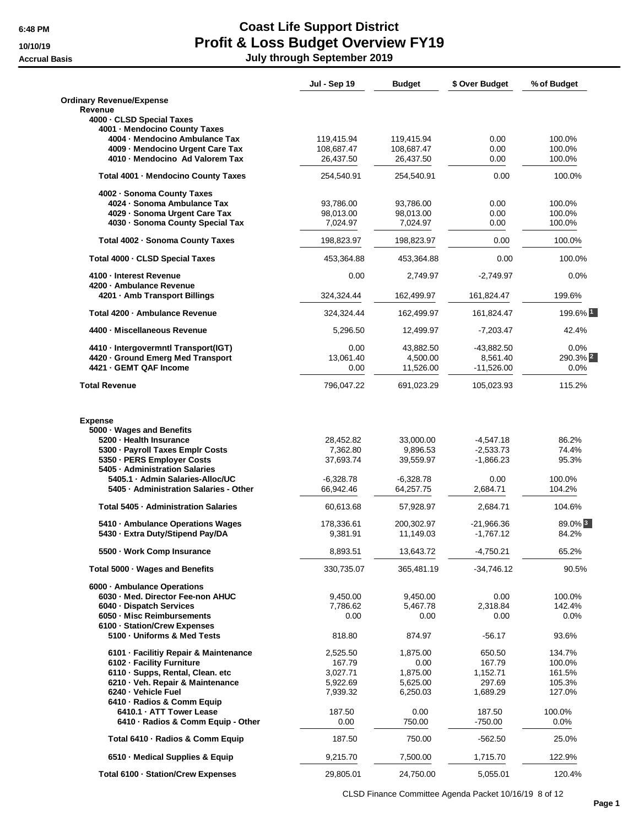# **6:48 PM Coast Life Support District 10/10/19 Profit & Loss Budget Overview FY19 Accrual Basis July through September 2019**

| <b>Ordinary Revenue/Expense</b><br>Revenue<br>4000 - CLSD Special Taxes<br>4001 - Mendocino County Taxes<br>4004 - Mendocino Ambulance Tax<br>100.0%<br>119,415.94<br>119,415.94<br>0.00<br>4009 - Mendocino Urgent Care Tax<br>108,687.47<br>108,687.47<br>0.00<br>100.0%<br>4010 - Mendocino Ad Valorem Tax<br>26,437.50<br>26,437.50<br>0.00<br>100.0%<br>Total 4001 - Mendocino County Taxes<br>0.00<br>100.0%<br>254,540.91<br>254,540.91<br>4002 - Sonoma County Taxes<br>4024 · Sonoma Ambulance Tax<br>93,786.00<br>93,786.00<br>0.00<br>100.0%<br>4029 - Sonoma Urgent Care Tax<br>98,013.00<br>98,013.00<br>0.00<br>100.0%<br>4030 - Sonoma County Special Tax<br>7,024.97<br>0.00<br>100.0%<br>7,024.97<br>Total 4002 - Sonoma County Taxes<br>198,823.97<br>198,823.97<br>0.00<br>100.0%<br>Total 4000 - CLSD Special Taxes<br>453,364.88<br>0.00<br>100.0%<br>453,364.88<br>4100 - Interest Revenue<br>0.00<br>0.0%<br>2,749.97<br>$-2,749.97$<br>4200 - Ambulance Revenue<br>4201 - Amb Transport Billings<br>199.6%<br>324,324.44<br>162,499.97<br>161,824.47<br>Total 4200 - Ambulance Revenue<br>324,324.44<br>162,499.97<br>161,824.47<br>4400 - Miscellaneous Revenue<br>5,296.50<br>12,499.97<br>$-7,203.47$<br>42.4%<br>4410 - Intergovermntl Transport(IGT)<br>0.00<br>43,882.50<br>$-43,882.50$<br>0.0%<br>4420 - Ground Emerg Med Transport<br>13,061.40<br>4,500.00<br>8,561.40<br>4421 - GEMT QAF Income<br>11,526.00<br>$-11,526.00$<br>0.0%<br>0.00<br>796,047.22<br>691,023.29<br>115.2%<br><b>Total Revenue</b><br>105,023.93<br><b>Expense</b><br>5000 · Wages and Benefits<br>5200 - Health Insurance<br>28,452.82<br>33,000.00<br>$-4,547.18$<br>86.2%<br>5300 - Payroll Taxes Emplr Costs<br>7,362.80<br>9,896.53<br>$-2,533.73$<br>74.4%<br>5350 - PERS Employer Costs<br>37,693.74<br>39,559.97<br>$-1,866.23$<br>95.3%<br>5405 · Administration Salaries<br>5405.1 · Admin Salaries-Alloc/UC<br>0.00<br>100.0%<br>$-6,328.78$<br>$-6,328.78$<br>5405 · Administration Salaries - Other<br>66,942.46<br>64,257.75<br>2,684.71<br>104.2%<br>Total 5405 · Administration Salaries<br>60,613.68<br>2,684.71<br>104.6%<br>57,928.97<br>89.0% 3<br>5410 - Ambulance Operations Wages<br>$-21,966.36$<br>178,336.61<br>200,302.97<br>5430 - Extra Duty/Stipend Pay/DA<br>$-1,767.12$<br>84.2%<br>9,381.91<br>11,149.03<br>8,893.51<br>13,643.72<br>$-4,750.21$<br>65.2%<br>5500 · Work Comp Insurance<br>330,735.07<br>365,481.19<br>$-34,746.12$<br>90.5%<br>Total 5000 · Wages and Benefits<br>6000 - Ambulance Operations<br>6030 - Med. Director Fee-non AHUC<br>9,450.00<br>9,450.00<br>0.00<br>100.0%<br>6040 - Dispatch Services<br>7,786.62<br>5,467.78<br>2,318.84<br>142.4%<br>6050 - Misc Reimbursements<br>0.00<br>0.00<br>0.00<br>$0.0\%$<br>6100 - Station/Crew Expenses<br>5100 Uniforms & Med Tests<br>818.80<br>874.97<br>$-56.17$<br>93.6%<br>6101 - Facilitiy Repair & Maintenance<br>134.7%<br>2,525.50<br>1,875.00<br>650.50<br>6102 - Facility Furniture<br>167.79<br>100.0%<br>167.79<br>0.00<br>3,027.71<br>1,875.00<br>1,152.71<br>161.5%<br>6110 · Supps, Rental, Clean. etc<br>5,922.69<br>5,625.00<br>297.69<br>6210 · Veh. Repair & Maintenance<br>105.3%<br>6240 - Vehicle Fuel<br>7,939.32<br>6,250.03<br>1,689.29<br>127.0%<br>6410 - Radios & Comm Equip<br>6410.1 · ATT Tower Lease<br>187.50<br>0.00<br>187.50<br>100.0%<br>750.00<br>$-750.00$<br>6410 · Radios & Comm Equip - Other<br>0.00<br>$0.0\%$<br>Total 6410 - Radios & Comm Equip<br>187.50<br>750.00<br>$-562.50$<br>25.0%<br>6510 - Medical Supplies & Equip<br>9,215.70<br>122.9%<br>7,500.00<br>1,715.70<br>Total 6100 - Station/Crew Expenses<br>29,805.01<br>24,750.00<br>5,055.01<br>120.4% | <b>Jul - Sep 19</b> | <b>Budget</b> | \$ Over Budget | % of Budget         |
|--------------------------------------------------------------------------------------------------------------------------------------------------------------------------------------------------------------------------------------------------------------------------------------------------------------------------------------------------------------------------------------------------------------------------------------------------------------------------------------------------------------------------------------------------------------------------------------------------------------------------------------------------------------------------------------------------------------------------------------------------------------------------------------------------------------------------------------------------------------------------------------------------------------------------------------------------------------------------------------------------------------------------------------------------------------------------------------------------------------------------------------------------------------------------------------------------------------------------------------------------------------------------------------------------------------------------------------------------------------------------------------------------------------------------------------------------------------------------------------------------------------------------------------------------------------------------------------------------------------------------------------------------------------------------------------------------------------------------------------------------------------------------------------------------------------------------------------------------------------------------------------------------------------------------------------------------------------------------------------------------------------------------------------------------------------------------------------------------------------------------------------------------------------------------------------------------------------------------------------------------------------------------------------------------------------------------------------------------------------------------------------------------------------------------------------------------------------------------------------------------------------------------------------------------------------------------------------------------------------------------------------------------------------------------------------------------------------------------------------------------------------------------------------------------------------------------------------------------------------------------------------------------------------------------------------------------------------------------------------------------------------------------------------------------------------------------------------------------------------------------------------------------------------------------------------------------------------------------------------------------------------------------------------------------------------------------------------------------------------------------------------------------------------------------------------------------------------------------------------------------------------------------------------------------------------------------------------------------------------------------------------------------------------------------------------------------------------------------------|---------------------|---------------|----------------|---------------------|
|                                                                                                                                                                                                                                                                                                                                                                                                                                                                                                                                                                                                                                                                                                                                                                                                                                                                                                                                                                                                                                                                                                                                                                                                                                                                                                                                                                                                                                                                                                                                                                                                                                                                                                                                                                                                                                                                                                                                                                                                                                                                                                                                                                                                                                                                                                                                                                                                                                                                                                                                                                                                                                                                                                                                                                                                                                                                                                                                                                                                                                                                                                                                                                                                                                                                                                                                                                                                                                                                                                                                                                                                                                                                                                                                |                     |               |                |                     |
|                                                                                                                                                                                                                                                                                                                                                                                                                                                                                                                                                                                                                                                                                                                                                                                                                                                                                                                                                                                                                                                                                                                                                                                                                                                                                                                                                                                                                                                                                                                                                                                                                                                                                                                                                                                                                                                                                                                                                                                                                                                                                                                                                                                                                                                                                                                                                                                                                                                                                                                                                                                                                                                                                                                                                                                                                                                                                                                                                                                                                                                                                                                                                                                                                                                                                                                                                                                                                                                                                                                                                                                                                                                                                                                                |                     |               |                |                     |
|                                                                                                                                                                                                                                                                                                                                                                                                                                                                                                                                                                                                                                                                                                                                                                                                                                                                                                                                                                                                                                                                                                                                                                                                                                                                                                                                                                                                                                                                                                                                                                                                                                                                                                                                                                                                                                                                                                                                                                                                                                                                                                                                                                                                                                                                                                                                                                                                                                                                                                                                                                                                                                                                                                                                                                                                                                                                                                                                                                                                                                                                                                                                                                                                                                                                                                                                                                                                                                                                                                                                                                                                                                                                                                                                |                     |               |                |                     |
|                                                                                                                                                                                                                                                                                                                                                                                                                                                                                                                                                                                                                                                                                                                                                                                                                                                                                                                                                                                                                                                                                                                                                                                                                                                                                                                                                                                                                                                                                                                                                                                                                                                                                                                                                                                                                                                                                                                                                                                                                                                                                                                                                                                                                                                                                                                                                                                                                                                                                                                                                                                                                                                                                                                                                                                                                                                                                                                                                                                                                                                                                                                                                                                                                                                                                                                                                                                                                                                                                                                                                                                                                                                                                                                                |                     |               |                |                     |
|                                                                                                                                                                                                                                                                                                                                                                                                                                                                                                                                                                                                                                                                                                                                                                                                                                                                                                                                                                                                                                                                                                                                                                                                                                                                                                                                                                                                                                                                                                                                                                                                                                                                                                                                                                                                                                                                                                                                                                                                                                                                                                                                                                                                                                                                                                                                                                                                                                                                                                                                                                                                                                                                                                                                                                                                                                                                                                                                                                                                                                                                                                                                                                                                                                                                                                                                                                                                                                                                                                                                                                                                                                                                                                                                |                     |               |                |                     |
|                                                                                                                                                                                                                                                                                                                                                                                                                                                                                                                                                                                                                                                                                                                                                                                                                                                                                                                                                                                                                                                                                                                                                                                                                                                                                                                                                                                                                                                                                                                                                                                                                                                                                                                                                                                                                                                                                                                                                                                                                                                                                                                                                                                                                                                                                                                                                                                                                                                                                                                                                                                                                                                                                                                                                                                                                                                                                                                                                                                                                                                                                                                                                                                                                                                                                                                                                                                                                                                                                                                                                                                                                                                                                                                                |                     |               |                |                     |
|                                                                                                                                                                                                                                                                                                                                                                                                                                                                                                                                                                                                                                                                                                                                                                                                                                                                                                                                                                                                                                                                                                                                                                                                                                                                                                                                                                                                                                                                                                                                                                                                                                                                                                                                                                                                                                                                                                                                                                                                                                                                                                                                                                                                                                                                                                                                                                                                                                                                                                                                                                                                                                                                                                                                                                                                                                                                                                                                                                                                                                                                                                                                                                                                                                                                                                                                                                                                                                                                                                                                                                                                                                                                                                                                |                     |               |                |                     |
|                                                                                                                                                                                                                                                                                                                                                                                                                                                                                                                                                                                                                                                                                                                                                                                                                                                                                                                                                                                                                                                                                                                                                                                                                                                                                                                                                                                                                                                                                                                                                                                                                                                                                                                                                                                                                                                                                                                                                                                                                                                                                                                                                                                                                                                                                                                                                                                                                                                                                                                                                                                                                                                                                                                                                                                                                                                                                                                                                                                                                                                                                                                                                                                                                                                                                                                                                                                                                                                                                                                                                                                                                                                                                                                                |                     |               |                |                     |
|                                                                                                                                                                                                                                                                                                                                                                                                                                                                                                                                                                                                                                                                                                                                                                                                                                                                                                                                                                                                                                                                                                                                                                                                                                                                                                                                                                                                                                                                                                                                                                                                                                                                                                                                                                                                                                                                                                                                                                                                                                                                                                                                                                                                                                                                                                                                                                                                                                                                                                                                                                                                                                                                                                                                                                                                                                                                                                                                                                                                                                                                                                                                                                                                                                                                                                                                                                                                                                                                                                                                                                                                                                                                                                                                |                     |               |                |                     |
|                                                                                                                                                                                                                                                                                                                                                                                                                                                                                                                                                                                                                                                                                                                                                                                                                                                                                                                                                                                                                                                                                                                                                                                                                                                                                                                                                                                                                                                                                                                                                                                                                                                                                                                                                                                                                                                                                                                                                                                                                                                                                                                                                                                                                                                                                                                                                                                                                                                                                                                                                                                                                                                                                                                                                                                                                                                                                                                                                                                                                                                                                                                                                                                                                                                                                                                                                                                                                                                                                                                                                                                                                                                                                                                                |                     |               |                |                     |
|                                                                                                                                                                                                                                                                                                                                                                                                                                                                                                                                                                                                                                                                                                                                                                                                                                                                                                                                                                                                                                                                                                                                                                                                                                                                                                                                                                                                                                                                                                                                                                                                                                                                                                                                                                                                                                                                                                                                                                                                                                                                                                                                                                                                                                                                                                                                                                                                                                                                                                                                                                                                                                                                                                                                                                                                                                                                                                                                                                                                                                                                                                                                                                                                                                                                                                                                                                                                                                                                                                                                                                                                                                                                                                                                |                     |               |                |                     |
|                                                                                                                                                                                                                                                                                                                                                                                                                                                                                                                                                                                                                                                                                                                                                                                                                                                                                                                                                                                                                                                                                                                                                                                                                                                                                                                                                                                                                                                                                                                                                                                                                                                                                                                                                                                                                                                                                                                                                                                                                                                                                                                                                                                                                                                                                                                                                                                                                                                                                                                                                                                                                                                                                                                                                                                                                                                                                                                                                                                                                                                                                                                                                                                                                                                                                                                                                                                                                                                                                                                                                                                                                                                                                                                                |                     |               |                |                     |
|                                                                                                                                                                                                                                                                                                                                                                                                                                                                                                                                                                                                                                                                                                                                                                                                                                                                                                                                                                                                                                                                                                                                                                                                                                                                                                                                                                                                                                                                                                                                                                                                                                                                                                                                                                                                                                                                                                                                                                                                                                                                                                                                                                                                                                                                                                                                                                                                                                                                                                                                                                                                                                                                                                                                                                                                                                                                                                                                                                                                                                                                                                                                                                                                                                                                                                                                                                                                                                                                                                                                                                                                                                                                                                                                |                     |               |                |                     |
|                                                                                                                                                                                                                                                                                                                                                                                                                                                                                                                                                                                                                                                                                                                                                                                                                                                                                                                                                                                                                                                                                                                                                                                                                                                                                                                                                                                                                                                                                                                                                                                                                                                                                                                                                                                                                                                                                                                                                                                                                                                                                                                                                                                                                                                                                                                                                                                                                                                                                                                                                                                                                                                                                                                                                                                                                                                                                                                                                                                                                                                                                                                                                                                                                                                                                                                                                                                                                                                                                                                                                                                                                                                                                                                                |                     |               |                |                     |
|                                                                                                                                                                                                                                                                                                                                                                                                                                                                                                                                                                                                                                                                                                                                                                                                                                                                                                                                                                                                                                                                                                                                                                                                                                                                                                                                                                                                                                                                                                                                                                                                                                                                                                                                                                                                                                                                                                                                                                                                                                                                                                                                                                                                                                                                                                                                                                                                                                                                                                                                                                                                                                                                                                                                                                                                                                                                                                                                                                                                                                                                                                                                                                                                                                                                                                                                                                                                                                                                                                                                                                                                                                                                                                                                |                     |               |                |                     |
|                                                                                                                                                                                                                                                                                                                                                                                                                                                                                                                                                                                                                                                                                                                                                                                                                                                                                                                                                                                                                                                                                                                                                                                                                                                                                                                                                                                                                                                                                                                                                                                                                                                                                                                                                                                                                                                                                                                                                                                                                                                                                                                                                                                                                                                                                                                                                                                                                                                                                                                                                                                                                                                                                                                                                                                                                                                                                                                                                                                                                                                                                                                                                                                                                                                                                                                                                                                                                                                                                                                                                                                                                                                                                                                                |                     |               |                |                     |
|                                                                                                                                                                                                                                                                                                                                                                                                                                                                                                                                                                                                                                                                                                                                                                                                                                                                                                                                                                                                                                                                                                                                                                                                                                                                                                                                                                                                                                                                                                                                                                                                                                                                                                                                                                                                                                                                                                                                                                                                                                                                                                                                                                                                                                                                                                                                                                                                                                                                                                                                                                                                                                                                                                                                                                                                                                                                                                                                                                                                                                                                                                                                                                                                                                                                                                                                                                                                                                                                                                                                                                                                                                                                                                                                |                     |               |                | 199.6% 1            |
|                                                                                                                                                                                                                                                                                                                                                                                                                                                                                                                                                                                                                                                                                                                                                                                                                                                                                                                                                                                                                                                                                                                                                                                                                                                                                                                                                                                                                                                                                                                                                                                                                                                                                                                                                                                                                                                                                                                                                                                                                                                                                                                                                                                                                                                                                                                                                                                                                                                                                                                                                                                                                                                                                                                                                                                                                                                                                                                                                                                                                                                                                                                                                                                                                                                                                                                                                                                                                                                                                                                                                                                                                                                                                                                                |                     |               |                |                     |
|                                                                                                                                                                                                                                                                                                                                                                                                                                                                                                                                                                                                                                                                                                                                                                                                                                                                                                                                                                                                                                                                                                                                                                                                                                                                                                                                                                                                                                                                                                                                                                                                                                                                                                                                                                                                                                                                                                                                                                                                                                                                                                                                                                                                                                                                                                                                                                                                                                                                                                                                                                                                                                                                                                                                                                                                                                                                                                                                                                                                                                                                                                                                                                                                                                                                                                                                                                                                                                                                                                                                                                                                                                                                                                                                |                     |               |                |                     |
|                                                                                                                                                                                                                                                                                                                                                                                                                                                                                                                                                                                                                                                                                                                                                                                                                                                                                                                                                                                                                                                                                                                                                                                                                                                                                                                                                                                                                                                                                                                                                                                                                                                                                                                                                                                                                                                                                                                                                                                                                                                                                                                                                                                                                                                                                                                                                                                                                                                                                                                                                                                                                                                                                                                                                                                                                                                                                                                                                                                                                                                                                                                                                                                                                                                                                                                                                                                                                                                                                                                                                                                                                                                                                                                                |                     |               |                | 290.3% <sup>2</sup> |
|                                                                                                                                                                                                                                                                                                                                                                                                                                                                                                                                                                                                                                                                                                                                                                                                                                                                                                                                                                                                                                                                                                                                                                                                                                                                                                                                                                                                                                                                                                                                                                                                                                                                                                                                                                                                                                                                                                                                                                                                                                                                                                                                                                                                                                                                                                                                                                                                                                                                                                                                                                                                                                                                                                                                                                                                                                                                                                                                                                                                                                                                                                                                                                                                                                                                                                                                                                                                                                                                                                                                                                                                                                                                                                                                |                     |               |                |                     |
|                                                                                                                                                                                                                                                                                                                                                                                                                                                                                                                                                                                                                                                                                                                                                                                                                                                                                                                                                                                                                                                                                                                                                                                                                                                                                                                                                                                                                                                                                                                                                                                                                                                                                                                                                                                                                                                                                                                                                                                                                                                                                                                                                                                                                                                                                                                                                                                                                                                                                                                                                                                                                                                                                                                                                                                                                                                                                                                                                                                                                                                                                                                                                                                                                                                                                                                                                                                                                                                                                                                                                                                                                                                                                                                                |                     |               |                |                     |
|                                                                                                                                                                                                                                                                                                                                                                                                                                                                                                                                                                                                                                                                                                                                                                                                                                                                                                                                                                                                                                                                                                                                                                                                                                                                                                                                                                                                                                                                                                                                                                                                                                                                                                                                                                                                                                                                                                                                                                                                                                                                                                                                                                                                                                                                                                                                                                                                                                                                                                                                                                                                                                                                                                                                                                                                                                                                                                                                                                                                                                                                                                                                                                                                                                                                                                                                                                                                                                                                                                                                                                                                                                                                                                                                |                     |               |                |                     |
|                                                                                                                                                                                                                                                                                                                                                                                                                                                                                                                                                                                                                                                                                                                                                                                                                                                                                                                                                                                                                                                                                                                                                                                                                                                                                                                                                                                                                                                                                                                                                                                                                                                                                                                                                                                                                                                                                                                                                                                                                                                                                                                                                                                                                                                                                                                                                                                                                                                                                                                                                                                                                                                                                                                                                                                                                                                                                                                                                                                                                                                                                                                                                                                                                                                                                                                                                                                                                                                                                                                                                                                                                                                                                                                                |                     |               |                |                     |
|                                                                                                                                                                                                                                                                                                                                                                                                                                                                                                                                                                                                                                                                                                                                                                                                                                                                                                                                                                                                                                                                                                                                                                                                                                                                                                                                                                                                                                                                                                                                                                                                                                                                                                                                                                                                                                                                                                                                                                                                                                                                                                                                                                                                                                                                                                                                                                                                                                                                                                                                                                                                                                                                                                                                                                                                                                                                                                                                                                                                                                                                                                                                                                                                                                                                                                                                                                                                                                                                                                                                                                                                                                                                                                                                |                     |               |                |                     |
|                                                                                                                                                                                                                                                                                                                                                                                                                                                                                                                                                                                                                                                                                                                                                                                                                                                                                                                                                                                                                                                                                                                                                                                                                                                                                                                                                                                                                                                                                                                                                                                                                                                                                                                                                                                                                                                                                                                                                                                                                                                                                                                                                                                                                                                                                                                                                                                                                                                                                                                                                                                                                                                                                                                                                                                                                                                                                                                                                                                                                                                                                                                                                                                                                                                                                                                                                                                                                                                                                                                                                                                                                                                                                                                                |                     |               |                |                     |
|                                                                                                                                                                                                                                                                                                                                                                                                                                                                                                                                                                                                                                                                                                                                                                                                                                                                                                                                                                                                                                                                                                                                                                                                                                                                                                                                                                                                                                                                                                                                                                                                                                                                                                                                                                                                                                                                                                                                                                                                                                                                                                                                                                                                                                                                                                                                                                                                                                                                                                                                                                                                                                                                                                                                                                                                                                                                                                                                                                                                                                                                                                                                                                                                                                                                                                                                                                                                                                                                                                                                                                                                                                                                                                                                |                     |               |                |                     |
|                                                                                                                                                                                                                                                                                                                                                                                                                                                                                                                                                                                                                                                                                                                                                                                                                                                                                                                                                                                                                                                                                                                                                                                                                                                                                                                                                                                                                                                                                                                                                                                                                                                                                                                                                                                                                                                                                                                                                                                                                                                                                                                                                                                                                                                                                                                                                                                                                                                                                                                                                                                                                                                                                                                                                                                                                                                                                                                                                                                                                                                                                                                                                                                                                                                                                                                                                                                                                                                                                                                                                                                                                                                                                                                                |                     |               |                |                     |
|                                                                                                                                                                                                                                                                                                                                                                                                                                                                                                                                                                                                                                                                                                                                                                                                                                                                                                                                                                                                                                                                                                                                                                                                                                                                                                                                                                                                                                                                                                                                                                                                                                                                                                                                                                                                                                                                                                                                                                                                                                                                                                                                                                                                                                                                                                                                                                                                                                                                                                                                                                                                                                                                                                                                                                                                                                                                                                                                                                                                                                                                                                                                                                                                                                                                                                                                                                                                                                                                                                                                                                                                                                                                                                                                |                     |               |                |                     |
|                                                                                                                                                                                                                                                                                                                                                                                                                                                                                                                                                                                                                                                                                                                                                                                                                                                                                                                                                                                                                                                                                                                                                                                                                                                                                                                                                                                                                                                                                                                                                                                                                                                                                                                                                                                                                                                                                                                                                                                                                                                                                                                                                                                                                                                                                                                                                                                                                                                                                                                                                                                                                                                                                                                                                                                                                                                                                                                                                                                                                                                                                                                                                                                                                                                                                                                                                                                                                                                                                                                                                                                                                                                                                                                                |                     |               |                |                     |
|                                                                                                                                                                                                                                                                                                                                                                                                                                                                                                                                                                                                                                                                                                                                                                                                                                                                                                                                                                                                                                                                                                                                                                                                                                                                                                                                                                                                                                                                                                                                                                                                                                                                                                                                                                                                                                                                                                                                                                                                                                                                                                                                                                                                                                                                                                                                                                                                                                                                                                                                                                                                                                                                                                                                                                                                                                                                                                                                                                                                                                                                                                                                                                                                                                                                                                                                                                                                                                                                                                                                                                                                                                                                                                                                |                     |               |                |                     |
|                                                                                                                                                                                                                                                                                                                                                                                                                                                                                                                                                                                                                                                                                                                                                                                                                                                                                                                                                                                                                                                                                                                                                                                                                                                                                                                                                                                                                                                                                                                                                                                                                                                                                                                                                                                                                                                                                                                                                                                                                                                                                                                                                                                                                                                                                                                                                                                                                                                                                                                                                                                                                                                                                                                                                                                                                                                                                                                                                                                                                                                                                                                                                                                                                                                                                                                                                                                                                                                                                                                                                                                                                                                                                                                                |                     |               |                |                     |
|                                                                                                                                                                                                                                                                                                                                                                                                                                                                                                                                                                                                                                                                                                                                                                                                                                                                                                                                                                                                                                                                                                                                                                                                                                                                                                                                                                                                                                                                                                                                                                                                                                                                                                                                                                                                                                                                                                                                                                                                                                                                                                                                                                                                                                                                                                                                                                                                                                                                                                                                                                                                                                                                                                                                                                                                                                                                                                                                                                                                                                                                                                                                                                                                                                                                                                                                                                                                                                                                                                                                                                                                                                                                                                                                |                     |               |                |                     |
|                                                                                                                                                                                                                                                                                                                                                                                                                                                                                                                                                                                                                                                                                                                                                                                                                                                                                                                                                                                                                                                                                                                                                                                                                                                                                                                                                                                                                                                                                                                                                                                                                                                                                                                                                                                                                                                                                                                                                                                                                                                                                                                                                                                                                                                                                                                                                                                                                                                                                                                                                                                                                                                                                                                                                                                                                                                                                                                                                                                                                                                                                                                                                                                                                                                                                                                                                                                                                                                                                                                                                                                                                                                                                                                                |                     |               |                |                     |
|                                                                                                                                                                                                                                                                                                                                                                                                                                                                                                                                                                                                                                                                                                                                                                                                                                                                                                                                                                                                                                                                                                                                                                                                                                                                                                                                                                                                                                                                                                                                                                                                                                                                                                                                                                                                                                                                                                                                                                                                                                                                                                                                                                                                                                                                                                                                                                                                                                                                                                                                                                                                                                                                                                                                                                                                                                                                                                                                                                                                                                                                                                                                                                                                                                                                                                                                                                                                                                                                                                                                                                                                                                                                                                                                |                     |               |                |                     |
|                                                                                                                                                                                                                                                                                                                                                                                                                                                                                                                                                                                                                                                                                                                                                                                                                                                                                                                                                                                                                                                                                                                                                                                                                                                                                                                                                                                                                                                                                                                                                                                                                                                                                                                                                                                                                                                                                                                                                                                                                                                                                                                                                                                                                                                                                                                                                                                                                                                                                                                                                                                                                                                                                                                                                                                                                                                                                                                                                                                                                                                                                                                                                                                                                                                                                                                                                                                                                                                                                                                                                                                                                                                                                                                                |                     |               |                |                     |
|                                                                                                                                                                                                                                                                                                                                                                                                                                                                                                                                                                                                                                                                                                                                                                                                                                                                                                                                                                                                                                                                                                                                                                                                                                                                                                                                                                                                                                                                                                                                                                                                                                                                                                                                                                                                                                                                                                                                                                                                                                                                                                                                                                                                                                                                                                                                                                                                                                                                                                                                                                                                                                                                                                                                                                                                                                                                                                                                                                                                                                                                                                                                                                                                                                                                                                                                                                                                                                                                                                                                                                                                                                                                                                                                |                     |               |                |                     |
|                                                                                                                                                                                                                                                                                                                                                                                                                                                                                                                                                                                                                                                                                                                                                                                                                                                                                                                                                                                                                                                                                                                                                                                                                                                                                                                                                                                                                                                                                                                                                                                                                                                                                                                                                                                                                                                                                                                                                                                                                                                                                                                                                                                                                                                                                                                                                                                                                                                                                                                                                                                                                                                                                                                                                                                                                                                                                                                                                                                                                                                                                                                                                                                                                                                                                                                                                                                                                                                                                                                                                                                                                                                                                                                                |                     |               |                |                     |
|                                                                                                                                                                                                                                                                                                                                                                                                                                                                                                                                                                                                                                                                                                                                                                                                                                                                                                                                                                                                                                                                                                                                                                                                                                                                                                                                                                                                                                                                                                                                                                                                                                                                                                                                                                                                                                                                                                                                                                                                                                                                                                                                                                                                                                                                                                                                                                                                                                                                                                                                                                                                                                                                                                                                                                                                                                                                                                                                                                                                                                                                                                                                                                                                                                                                                                                                                                                                                                                                                                                                                                                                                                                                                                                                |                     |               |                |                     |
|                                                                                                                                                                                                                                                                                                                                                                                                                                                                                                                                                                                                                                                                                                                                                                                                                                                                                                                                                                                                                                                                                                                                                                                                                                                                                                                                                                                                                                                                                                                                                                                                                                                                                                                                                                                                                                                                                                                                                                                                                                                                                                                                                                                                                                                                                                                                                                                                                                                                                                                                                                                                                                                                                                                                                                                                                                                                                                                                                                                                                                                                                                                                                                                                                                                                                                                                                                                                                                                                                                                                                                                                                                                                                                                                |                     |               |                |                     |
|                                                                                                                                                                                                                                                                                                                                                                                                                                                                                                                                                                                                                                                                                                                                                                                                                                                                                                                                                                                                                                                                                                                                                                                                                                                                                                                                                                                                                                                                                                                                                                                                                                                                                                                                                                                                                                                                                                                                                                                                                                                                                                                                                                                                                                                                                                                                                                                                                                                                                                                                                                                                                                                                                                                                                                                                                                                                                                                                                                                                                                                                                                                                                                                                                                                                                                                                                                                                                                                                                                                                                                                                                                                                                                                                |                     |               |                |                     |
|                                                                                                                                                                                                                                                                                                                                                                                                                                                                                                                                                                                                                                                                                                                                                                                                                                                                                                                                                                                                                                                                                                                                                                                                                                                                                                                                                                                                                                                                                                                                                                                                                                                                                                                                                                                                                                                                                                                                                                                                                                                                                                                                                                                                                                                                                                                                                                                                                                                                                                                                                                                                                                                                                                                                                                                                                                                                                                                                                                                                                                                                                                                                                                                                                                                                                                                                                                                                                                                                                                                                                                                                                                                                                                                                |                     |               |                |                     |
|                                                                                                                                                                                                                                                                                                                                                                                                                                                                                                                                                                                                                                                                                                                                                                                                                                                                                                                                                                                                                                                                                                                                                                                                                                                                                                                                                                                                                                                                                                                                                                                                                                                                                                                                                                                                                                                                                                                                                                                                                                                                                                                                                                                                                                                                                                                                                                                                                                                                                                                                                                                                                                                                                                                                                                                                                                                                                                                                                                                                                                                                                                                                                                                                                                                                                                                                                                                                                                                                                                                                                                                                                                                                                                                                |                     |               |                |                     |
|                                                                                                                                                                                                                                                                                                                                                                                                                                                                                                                                                                                                                                                                                                                                                                                                                                                                                                                                                                                                                                                                                                                                                                                                                                                                                                                                                                                                                                                                                                                                                                                                                                                                                                                                                                                                                                                                                                                                                                                                                                                                                                                                                                                                                                                                                                                                                                                                                                                                                                                                                                                                                                                                                                                                                                                                                                                                                                                                                                                                                                                                                                                                                                                                                                                                                                                                                                                                                                                                                                                                                                                                                                                                                                                                |                     |               |                |                     |
|                                                                                                                                                                                                                                                                                                                                                                                                                                                                                                                                                                                                                                                                                                                                                                                                                                                                                                                                                                                                                                                                                                                                                                                                                                                                                                                                                                                                                                                                                                                                                                                                                                                                                                                                                                                                                                                                                                                                                                                                                                                                                                                                                                                                                                                                                                                                                                                                                                                                                                                                                                                                                                                                                                                                                                                                                                                                                                                                                                                                                                                                                                                                                                                                                                                                                                                                                                                                                                                                                                                                                                                                                                                                                                                                |                     |               |                |                     |
|                                                                                                                                                                                                                                                                                                                                                                                                                                                                                                                                                                                                                                                                                                                                                                                                                                                                                                                                                                                                                                                                                                                                                                                                                                                                                                                                                                                                                                                                                                                                                                                                                                                                                                                                                                                                                                                                                                                                                                                                                                                                                                                                                                                                                                                                                                                                                                                                                                                                                                                                                                                                                                                                                                                                                                                                                                                                                                                                                                                                                                                                                                                                                                                                                                                                                                                                                                                                                                                                                                                                                                                                                                                                                                                                |                     |               |                |                     |
|                                                                                                                                                                                                                                                                                                                                                                                                                                                                                                                                                                                                                                                                                                                                                                                                                                                                                                                                                                                                                                                                                                                                                                                                                                                                                                                                                                                                                                                                                                                                                                                                                                                                                                                                                                                                                                                                                                                                                                                                                                                                                                                                                                                                                                                                                                                                                                                                                                                                                                                                                                                                                                                                                                                                                                                                                                                                                                                                                                                                                                                                                                                                                                                                                                                                                                                                                                                                                                                                                                                                                                                                                                                                                                                                |                     |               |                |                     |

CLSD Finance Committee Agenda Packet 10/16/19 8 of 12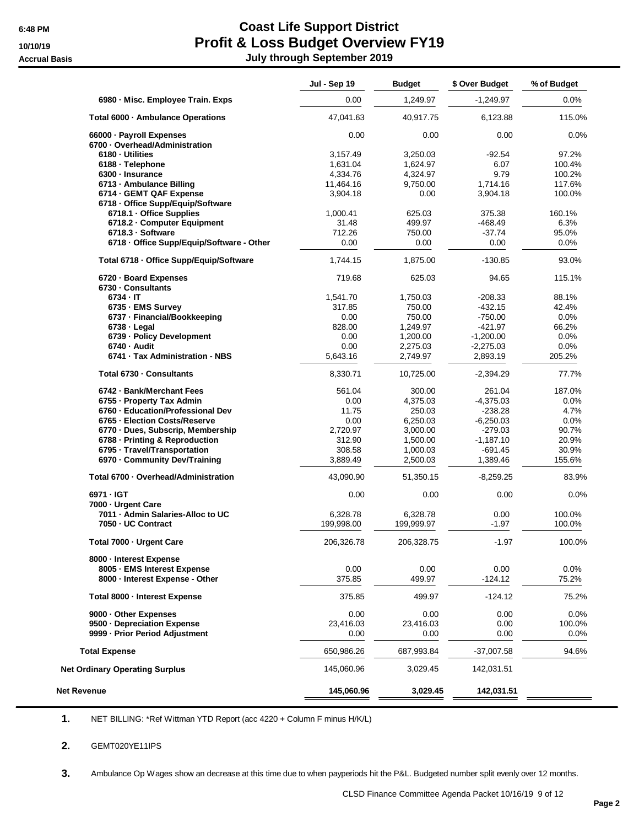# **6:48 PM Coast Life Support District 10/10/19 Profit & Loss Budget Overview FY19 Accrual Basis July through September 2019**

|                                                         | Jul - Sep 19           | <b>Budget</b>          | \$ Over Budget  | % of Budget      |
|---------------------------------------------------------|------------------------|------------------------|-----------------|------------------|
| 6980 - Misc. Employee Train. Exps                       | 0.00                   | 1,249.97               | $-1,249.97$     | $0.0\%$          |
| Total 6000 · Ambulance Operations                       | 47,041.63              | 40,917.75              | 6,123.88        | 115.0%           |
| 66000 · Payroll Expenses                                | 0.00                   | 0.00                   | 0.00            | 0.0%             |
| 6700 · Overhead/Administration                          |                        |                        |                 |                  |
| 6180 · Utilities                                        | 3,157.49               | 3,250.03               | -92.54          | 97.2%            |
| 6188 · Telephone                                        | 1,631.04               | 1,624.97               | 6.07            | 100.4%           |
| 6300 - Insurance                                        | 4,334.76               | 4,324.97               | 9.79            | 100.2%           |
| 6713 - Ambulance Billing                                | 11,464.16              | 9,750.00               | 1,714.16        | 117.6%           |
| 6714 - GEMT QAF Expense                                 | 3,904.18               | 0.00                   | 3,904.18        | 100.0%           |
| 6718 - Office Supp/Equip/Software                       |                        |                        |                 |                  |
| 6718.1 - Office Supplies                                | 1,000.41               | 625.03                 | 375.38          | 160.1%           |
| 6718.2 - Computer Equipment                             | 31.48                  | 499.97                 | $-468.49$       | 6.3%             |
| 6718.3 - Software                                       | 712.26                 | 750.00                 | $-37.74$        | 95.0%            |
| 6718 - Office Supp/Equip/Software - Other               | 0.00                   | 0.00                   | 0.00            | $0.0\%$          |
| Total 6718 - Office Supp/Equip/Software                 | 1,744.15               | 1,875.00               | $-130.85$       | 93.0%            |
| 6720 - Board Expenses                                   | 719.68                 | 625.03                 | 94.65           | 115.1%           |
| 6730 - Consultants                                      |                        |                        |                 |                  |
| 6734 - IT                                               | 1,541.70               | 1,750.03               | $-208.33$       | 88.1%            |
|                                                         |                        |                        |                 |                  |
| 6735 - EMS Survey                                       | 317.85                 | 750.00                 | $-432.15$       | 42.4%            |
| 6737 - Financial/Bookkeeping                            | 0.00                   | 750.00                 | $-750.00$       | 0.0%             |
| $6738 - Legal$                                          | 828.00                 | 1,249.97               | $-421.97$       | 66.2%            |
| 6739 - Policy Development                               | 0.00                   | 1,200.00               | $-1,200.00$     | $0.0\%$          |
| 6740 - Audit                                            | 0.00                   | 2,275.03               | $-2,275.03$     | 0.0%             |
| 6741 - Tax Administration - NBS                         | 5,643.16               | 2,749.97               | 2,893.19        | 205.2%           |
| Total 6730 - Consultants                                | 8,330.71               | 10,725.00              | $-2,394.29$     | 77.7%            |
| 6742 - Bank/Merchant Fees                               | 561.04                 | 300.00                 | 261.04          | 187.0%           |
| 6755 - Property Tax Admin                               | 0.00                   | 4,375.03               | $-4,375.03$     | 0.0%             |
| 6760 - Education/Professional Dev                       | 11.75                  | 250.03                 | $-238.28$       | 4.7%             |
| 6765 - Election Costs/Reserve                           | 0.00                   | 6,250.03               | $-6,250.03$     | 0.0%             |
| 6770 - Dues, Subscrip, Membership                       | 2,720.97               | 3,000.00               | $-279.03$       | 90.7%            |
| 6788 - Printing & Reproduction                          | 312.90                 | 1,500.00               | $-1,187.10$     | 20.9%            |
| 6795 - Travel/Transportation                            | 308.58                 | 1,000.03               | $-691.45$       | 30.9%            |
| 6970 - Community Dev/Training                           | 3,889.49               | 2,500.03               | 1,389.46        | 155.6%           |
| Total 6700 - Overhead/Administration                    | 43,090.90              | 51,350.15              | $-8,259.25$     | 83.9%            |
| 6971 - IGT                                              | 0.00                   | 0.00                   | 0.00            | 0.0%             |
| 7000 - Urgent Care                                      |                        |                        |                 |                  |
| 7011 - Admin Salaries-Alloc to UC<br>7050 - UC Contract | 6,328.78<br>199,998.00 | 6,328.78<br>199,999.97 | 0.00<br>$-1.97$ | 100.0%<br>100.0% |
| Total 7000 - Urgent Care                                | 206,326.78             | 206,328.75             | $-1.97$         | 100.0%           |
|                                                         |                        |                        |                 |                  |
| 8000 - Interest Expense                                 |                        |                        |                 |                  |
| 8005 - EMS Interest Expense                             | 0.00                   | 0.00                   | 0.00            | 0.0%             |
| 8000 - Interest Expense - Other                         | 375.85                 | 499.97                 | $-124.12$       | 75.2%            |
| Total 8000 - Interest Expense                           | 375.85                 | 499.97                 | $-124.12$       | 75.2%            |
| 9000 - Other Expenses                                   | 0.00                   | 0.00                   | 0.00            | 0.0%             |
| 9500 - Depreciation Expense                             | 23,416.03              | 23,416.03              | 0.00            | 100.0%           |
| 9999 - Prior Period Adjustment                          | 0.00                   | 0.00                   | 0.00            | 0.0%             |
| <b>Total Expense</b>                                    | 650,986.26             | 687,993.84             | $-37,007.58$    | 94.6%            |
| <b>Net Ordinary Operating Surplus</b>                   | 145,060.96             | 3,029.45               | 142,031.51      |                  |
|                                                         |                        |                        |                 |                  |

**1.** NET BILLING: \*Ref Wittman YTD Report (acc 4220 + Column F minus H/K/L)

### **2.** GEMT020YE11IPS

**3.** Ambulance Op Wages show an decrease at this time due to when payperiods hit the P&L. Budgeted number split evenly over 12 months.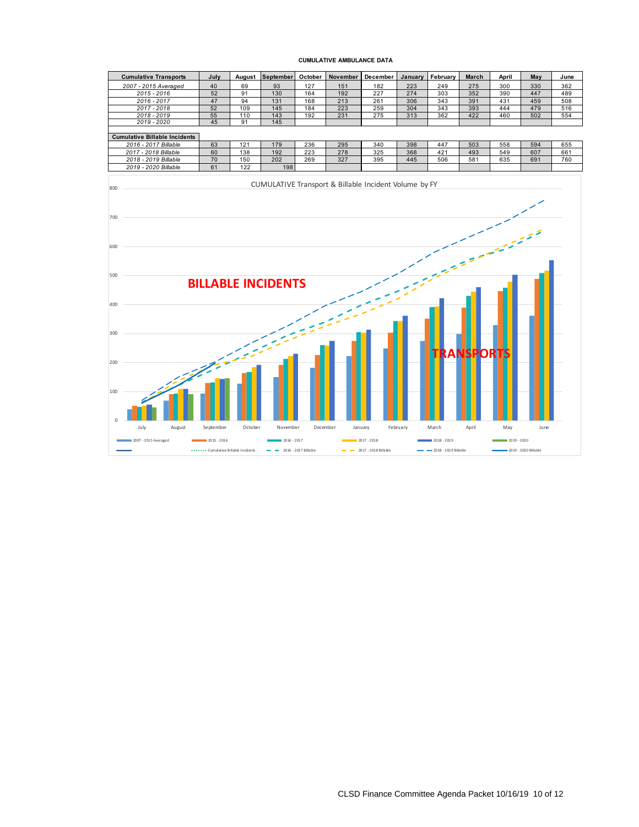#### **CUMULATIVE AMBULANCE DATA**

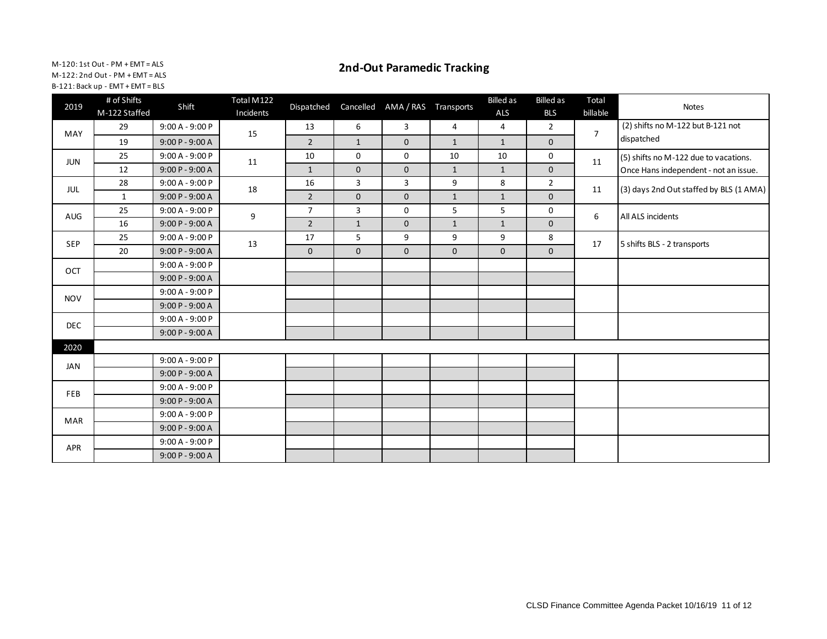M-120: 1st Out - PM + EMT = ALS M-122: 2nd Out - PM + EMT = ALS B-121: Back up - EMT + EMT = BLS

## **2nd-Out Paramedic Tracking**

| 2019       | # of Shifts<br>M-122 Staffed | Shift             | Total M122<br>Incidents | Dispatched     | Cancelled    | AMA / RAS Transports |                | <b>Billed</b> as<br>ALS | <b>Billed</b> as<br><b>BLS</b> | Total<br>billable | Notes                                   |
|------------|------------------------------|-------------------|-------------------------|----------------|--------------|----------------------|----------------|-------------------------|--------------------------------|-------------------|-----------------------------------------|
| MAY        | 29                           | $9:00 A - 9:00 P$ | 15                      | 13             | 6            | 3                    | $\overline{4}$ | $\overline{4}$          | $\overline{2}$                 | $\overline{7}$    | (2) shifts no M-122 but B-121 not       |
|            | 19                           | $9:00P - 9:00A$   |                         | $\overline{2}$ | $\mathbf{1}$ | $\mathbf{0}$         | $\mathbf{1}$   | $\mathbf{1}$            | $\mathbf{0}$                   |                   | dispatched                              |
| <b>JUN</b> | 25                           | $9:00 A - 9:00 P$ | 11                      | 10             | 0            | 0                    | 10             | 10                      | 0                              | 11                | (5) shifts no M-122 due to vacations.   |
|            | 12                           | 9:00 P - 9:00 A   |                         | $\mathbf{1}$   | $\mathbf 0$  | $\mathbf 0$          | $\mathbf{1}$   | $\mathbf{1}$            | $\mathbf 0$                    |                   | Once Hans independent - not an issue.   |
| JUL        | 28                           | $9:00 A - 9:00 P$ | 18                      | 16             | 3            | 3                    | 9              | 8                       | $\overline{2}$                 | 11                | (3) days 2nd Out staffed by BLS (1 AMA) |
|            | $\mathbf{1}$                 | 9:00 P - 9:00 A   |                         | $\overline{2}$ | $\mathbf 0$  | $\mathbf 0$          | $\mathbf{1}$   | $\mathbf{1}$            | $\mathbf 0$                    |                   |                                         |
| 25<br>AUG  | 9:00 A - 9:00 P              | 9                 | $\overline{7}$          | $\overline{3}$ | $\mathbf 0$  | 5                    | 5              | 0                       | 6                              | All ALS incidents |                                         |
|            | 16                           | $9:00P - 9:00A$   |                         | $\overline{2}$ | $\mathbf{1}$ | $\mathbf 0$          | $\mathbf{1}$   | $\mathbf{1}$            | $\mathbf 0$                    |                   |                                         |
| <b>SEP</b> | 25                           | $9:00 A - 9:00 P$ | 13                      | 17             | 5            | 9                    | 9              | 9                       | 8                              | 17                | 5 shifts BLS - 2 transports             |
|            | 20                           | $9:00 P - 9:00 A$ |                         | $\mathbf{0}$   | $\mathbf{0}$ | $\mathbf{0}$         | $\mathbf 0$    | 0                       | $\mathbf 0$                    |                   |                                         |
| OCT        |                              | $9:00 A - 9:00 P$ |                         |                |              |                      |                |                         |                                |                   |                                         |
|            |                              | $9:00P - 9:00A$   |                         |                |              |                      |                |                         |                                |                   |                                         |
| <b>NOV</b> |                              | $9:00 A - 9:00 P$ |                         |                |              |                      |                |                         |                                |                   |                                         |
|            |                              | $9:00P - 9:00A$   |                         |                |              |                      |                |                         |                                |                   |                                         |
| <b>DEC</b> |                              | $9:00 A - 9:00 P$ |                         |                |              |                      |                |                         |                                |                   |                                         |
|            |                              | 9:00 P - 9:00 A   |                         |                |              |                      |                |                         |                                |                   |                                         |
| 2020       |                              |                   |                         |                |              |                      |                |                         |                                |                   |                                         |
| JAN        |                              | $9:00 A - 9:00 P$ |                         |                |              |                      |                |                         |                                |                   |                                         |
|            |                              | $9:00P - 9:00A$   |                         |                |              |                      |                |                         |                                |                   |                                         |
| <b>FEB</b> |                              | $9:00 A - 9:00 P$ |                         |                |              |                      |                |                         |                                |                   |                                         |
|            |                              | $9:00P - 9:00A$   |                         |                |              |                      |                |                         |                                |                   |                                         |
| <b>MAR</b> |                              | $9:00 A - 9:00 P$ |                         |                |              |                      |                |                         |                                |                   |                                         |
|            |                              | 9:00 P - 9:00 A   |                         |                |              |                      |                |                         |                                |                   |                                         |
| APR        |                              | $9:00 A - 9:00 P$ |                         |                |              |                      |                |                         |                                |                   |                                         |
|            |                              | $9:00P - 9:00A$   |                         |                |              |                      |                |                         |                                |                   |                                         |